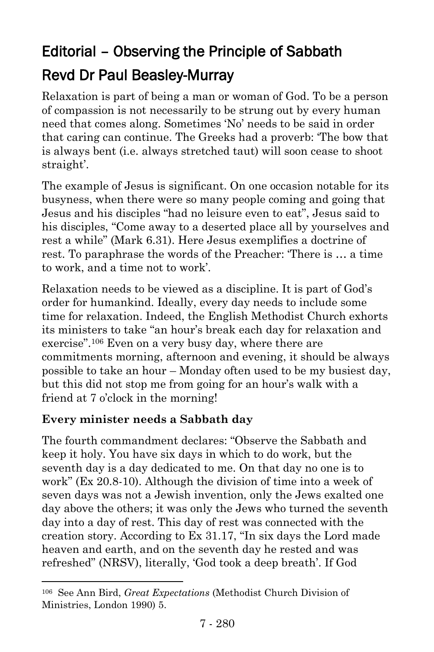# Editorial – Observing the Principle of Sabbath Revd Dr Paul Beasley-Murray

Relaxation is part of being a man or woman of God. To be a person of compassion is not necessarily to be strung out by every human need that comes along. Sometimes 'No' needs to be said in order that caring can continue. The Greeks had a proverb: 'The bow that is always bent (i.e. always stretched taut) will soon cease to shoot straight'.

The example of Jesus is significant. On one occasion notable for its busyness, when there were so many people coming and going that Jesus and his disciples "had no leisure even to eat", Jesus said to his disciples, "Come away to a deserted place all by yourselves and rest a while" (Mark 6.31). Here Jesus exemplifies a doctrine of rest. To paraphrase the words of the Preacher: 'There is … a time to work, and a time not to work'.

Relaxation needs to be viewed as a discipline. It is part of God's order for humankind. Ideally, every day needs to include some time for relaxation. Indeed, the English Methodist Church exhorts its ministers to take "an hour's break each day for relaxation and exercise".<sup>106</sup> Even on a very busy day, where there are commitments morning, afternoon and evening, it should be always possible to take an hour – Monday often used to be my busiest day, but this did not stop me from going for an hour's walk with a friend at 7 o'clock in the morning!

### **Every minister needs a Sabbath day**

l

The fourth commandment declares: "Observe the Sabbath and keep it holy. You have six days in which to do work, but the seventh day is a day dedicated to me. On that day no one is to work" (Ex 20.8-10). Although the division of time into a week of seven days was not a Jewish invention, only the Jews exalted one day above the others; it was only the Jews who turned the seventh day into a day of rest. This day of rest was connected with the creation story. According to Ex 31.17, "In six days the Lord made heaven and earth, and on the seventh day he rested and was refreshed" (NRSV), literally, 'God took a deep breath'. If God

<sup>106</sup> See Ann Bird, *Great Expectations* (Methodist Church Division of Ministries, London 1990) 5.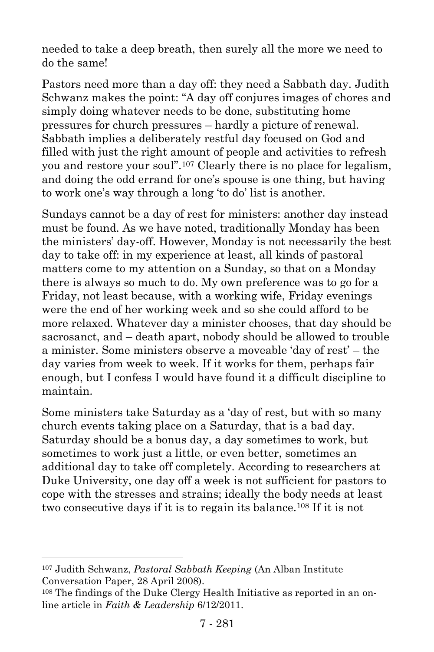needed to take a deep breath, then surely all the more we need to do the same!

Pastors need more than a day off: they need a Sabbath day. Judith Schwanz makes the point: "A day off conjures images of chores and simply doing whatever needs to be done, substituting home pressures for church pressures – hardly a picture of renewal. Sabbath implies a deliberately restful day focused on God and filled with just the right amount of people and activities to refresh you and restore your soul".<sup>107</sup> Clearly there is no place for legalism, and doing the odd errand for one's spouse is one thing, but having to work one's way through a long 'to do' list is another.

Sundays cannot be a day of rest for ministers: another day instead must be found. As we have noted, traditionally Monday has been the ministers' day-off. However, Monday is not necessarily the best day to take off: in my experience at least, all kinds of pastoral matters come to my attention on a Sunday, so that on a Monday there is always so much to do. My own preference was to go for a Friday, not least because, with a working wife, Friday evenings were the end of her working week and so she could afford to be more relaxed. Whatever day a minister chooses, that day should be sacrosanct, and – death apart, nobody should be allowed to trouble a minister. Some ministers observe a moveable 'day of rest' – the day varies from week to week. If it works for them, perhaps fair enough, but I confess I would have found it a difficult discipline to maintain.

Some ministers take Saturday as a 'day of rest, but with so many church events taking place on a Saturday, that is a bad day. Saturday should be a bonus day, a day sometimes to work, but sometimes to work just a little, or even better, sometimes an additional day to take off completely. According to researchers at Duke University, one day off a week is not sufficient for pastors to cope with the stresses and strains; ideally the body needs at least two consecutive days if it is to regain its balance.<sup>108</sup> If it is not

l

<sup>107</sup> Judith Schwanz, *Pastoral Sabbath Keeping* (An Alban Institute Conversation Paper, 28 April 2008).

<sup>108</sup> The findings of the Duke Clergy Health Initiative as reported in an online article in *Faith & Leadership* 6/12/2011.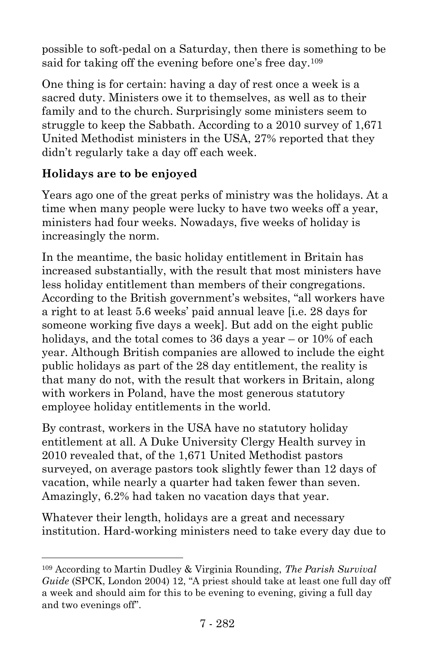possible to soft-pedal on a Saturday, then there is something to be said for taking off the evening before one's free day.<sup>109</sup>

One thing is for certain: having a day of rest once a week is a sacred duty. Ministers owe it to themselves, as well as to their family and to the church. Surprisingly some ministers seem to struggle to keep the Sabbath. According to a 2010 survey of 1,671 United Methodist ministers in the USA, 27% reported that they didn't regularly take a day off each week.

## **Holidays are to be enjoyed**

l

Years ago one of the great perks of ministry was the holidays. At a time when many people were lucky to have two weeks off a year, ministers had four weeks. Nowadays, five weeks of holiday is increasingly the norm.

In the meantime, the basic holiday entitlement in Britain has increased substantially, with the result that most ministers have less holiday entitlement than members of their congregations. According to the British government's websites, "all workers have a right to at least 5.6 weeks' paid annual leave [i.e. 28 days for someone working five days a week]. But add on the eight public holidays, and the total comes to 36 days a year – or 10% of each year. Although British companies are allowed to include the eight public holidays as part of the 28 day entitlement, the reality is that many do not, with the result that workers in Britain, along with workers in Poland, have the most generous statutory employee holiday entitlements in the world.

By contrast, workers in the USA have no statutory holiday entitlement at all. A Duke University Clergy Health survey in 2010 revealed that, of the 1,671 United Methodist pastors surveyed, on average pastors took slightly fewer than 12 days of vacation, while nearly a quarter had taken fewer than seven. Amazingly, 6.2% had taken no vacation days that year.

Whatever their length, holidays are a great and necessary institution. Hard-working ministers need to take every day due to

<sup>109</sup> According to Martin Dudley & Virginia Rounding, *The Parish Survival Guide* (SPCK, London 2004) 12, "A priest should take at least one full day off a week and should aim for this to be evening to evening, giving a full day and two evenings off".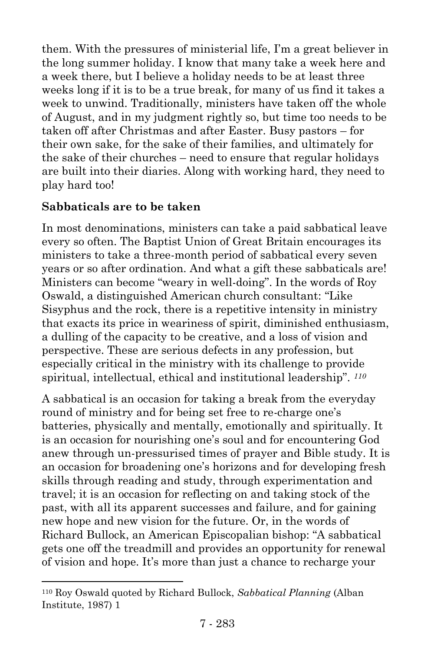them. With the pressures of ministerial life, I'm a great believer in the long summer holiday. I know that many take a week here and a week there, but I believe a holiday needs to be at least three weeks long if it is to be a true break, for many of us find it takes a week to unwind. Traditionally, ministers have taken off the whole of August, and in my judgment rightly so, but time too needs to be taken off after Christmas and after Easter. Busy pastors – for their own sake, for the sake of their families, and ultimately for the sake of their churches – need to ensure that regular holidays are built into their diaries. Along with working hard, they need to play hard too!

### **Sabbaticals are to be taken**

l

In most denominations, ministers can take a paid sabbatical leave every so often. The Baptist Union of Great Britain encourages its ministers to take a three-month period of sabbatical every seven years or so after ordination. And what a gift these sabbaticals are! Ministers can become "weary in well-doing". In the words of Roy Oswald, a distinguished American church consultant: "Like Sisyphus and the rock, there is a repetitive intensity in ministry that exacts its price in weariness of spirit, diminished enthusiasm, a dulling of the capacity to be creative, and a loss of vision and perspective. These are serious defects in any profession, but especially critical in the ministry with its challenge to provide spiritual, intellectual, ethical and institutional leadership". *<sup>110</sup>*

A sabbatical is an occasion for taking a break from the everyday round of ministry and for being set free to re-charge one's batteries, physically and mentally, emotionally and spiritually. It is an occasion for nourishing one's soul and for encountering God anew through un-pressurised times of prayer and Bible study. It is an occasion for broadening one's horizons and for developing fresh skills through reading and study, through experimentation and travel; it is an occasion for reflecting on and taking stock of the past, with all its apparent successes and failure, and for gaining new hope and new vision for the future. Or, in the words of Richard Bullock, an American Episcopalian bishop: "A sabbatical gets one off the treadmill and provides an opportunity for renewal of vision and hope. It's more than just a chance to recharge your

<sup>110</sup> Roy Oswald quoted by Richard Bullock, *Sabbatical Planning* (Alban Institute, 1987) 1